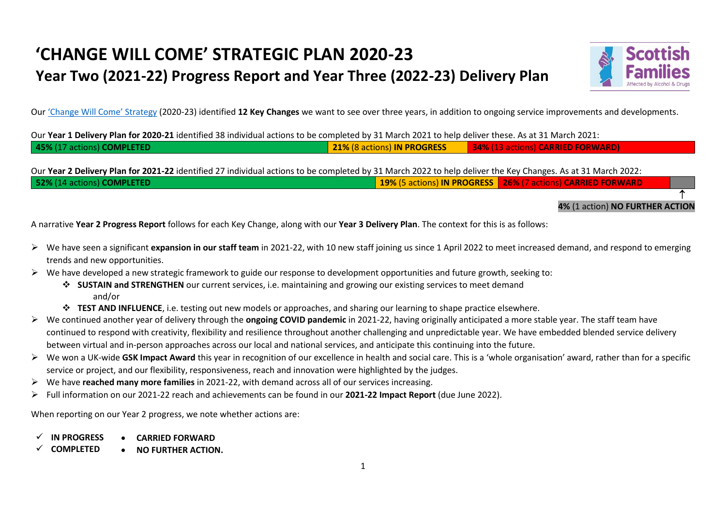## **'CHANGE WILL COME' STRATEGIC PLAN 2020-23 Year Two (2021-22) Progress Report and Year Three (2022-23) Delivery Plan**



Our ['Change Will Come' Strategy](https://www.sfad.org.uk/change-will-come-our-strategy-2020-2023) (2020-23) identified **12 Key Changes** we want to see over three years, in addition to ongoing service improvements and developments.

Our **Year 1 Delivery Plan for 2020-21** identified 38 individual actions to be completed by 31 March 2021 to help deliver these. As at 31 March 2021: **45%** (17 actions) **COMPLETED 21%** (8 actions) **IN PROGRESS 34%** (13 actions) **CARRIED FORWARD)**

Our **Year 2 Delivery Plan for 2021-22** identified 27 individual actions to be completed by 31 March 2022 to help deliver the Key Changes. As at 31 March 2022: **52%** (14 actions) **COMPLETED 19%** (5 actions) **IN PROGRESS 26%** (7 actions) **CARRIED FORWARD**

**4%** (1 action) **NO FURTHER ACTION**

T

A narrative **Year 2 Progress Report** follows for each Key Change, along with our **Year 3 Delivery Plan**. The context for this is as follows:

- ➢ We have seen a significant **expansion in our staff team** in 2021-22, with 10 new staff joining us since 1 April 2022 to meet increased demand, and respond to emerging trends and new opportunities.
- $\triangleright$  We have developed a new strategic framework to guide our response to development opportunities and future growth, seeking to:
	- ❖ **SUSTAIN and STRENGTHEN** our current services, i.e. maintaining and growing our existing services to meet demand and/or
	- ❖ **TEST AND INFLUENCE**, i.e. testing out new models or approaches, and sharing our learning to shape practice elsewhere.
- ➢ We continued another year of delivery through the **ongoing COVID pandemic** in 2021-22, having originally anticipated a more stable year. The staff team have continued to respond with creativity, flexibility and resilience throughout another challenging and unpredictable year. We have embedded blended service delivery between virtual and in-person approaches across our local and national services, and anticipate this continuing into the future.
- ➢ We won a UK-wide **GSK Impact Award** this year in recognition of our excellence in health and social care. This is a 'whole organisation' award, rather than for a specific service or project, and our flexibility, responsiveness, reach and innovation were highlighted by the judges.
- ➢ We have **reached many more families** in 2021-22, with demand across all of our services increasing.
- ➢ Full information on our 2021-22 reach and achievements can be found in our **2021-22 Impact Report** (due June 2022).

When reporting on our Year 2 progress, we note whether actions are:

- ✓ **IN PROGRESS** • **CARRIED FORWARD**
- ✓ **COMPLETED** • **NO FURTHER ACTION.**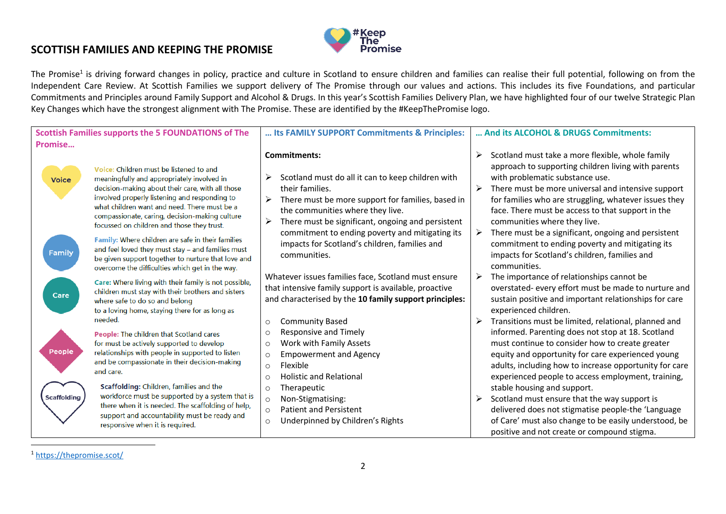## **Keep** The ˈ **Promise**

## **SCOTTISH FAMILIES AND KEEPING THE PROMISE**

The Promise<sup>1</sup> is driving forward changes in policy, practice and culture in Scotland to ensure children and families can realise their full potential, following on from the Independent Care Review. At Scottish Families we support delivery of The Promise through our values and actions. This includes its five Foundations, and particular Commitments and Principles around Family Support and Alcohol & Drugs. In this year's Scottish Families Delivery Plan, we have highlighted four of our twelve Strategic Plan Key Changes which have the strongest alignment with The Promise. These are identified by the #KeepThePromise logo.

| <b>Scottish Families supports the 5 FOUNDATIONS of The</b> |                                                                                                                                                                                                                                                                                                                                            | Its FAMILY SUPPORT Commitments & Principles:                                                                                                                                                                                                             | And its ALCOHOL & DRUGS Commitments:                                                                                                                                                                                                                                                                                                                             |
|------------------------------------------------------------|--------------------------------------------------------------------------------------------------------------------------------------------------------------------------------------------------------------------------------------------------------------------------------------------------------------------------------------------|----------------------------------------------------------------------------------------------------------------------------------------------------------------------------------------------------------------------------------------------------------|------------------------------------------------------------------------------------------------------------------------------------------------------------------------------------------------------------------------------------------------------------------------------------------------------------------------------------------------------------------|
| Promise                                                    |                                                                                                                                                                                                                                                                                                                                            |                                                                                                                                                                                                                                                          |                                                                                                                                                                                                                                                                                                                                                                  |
| <b>Voice</b>                                               | Voice: Children must be listened to and<br>meaningfully and appropriately involved in<br>decision-making about their care, with all those<br>involved properly listening and responding to<br>what children want and need. There must be a<br>compassionate, caring, decision-making culture<br>focussed on children and those they trust. | <b>Commitments:</b><br>Scotland must do all it can to keep children with<br>⋗<br>their families.<br>There must be more support for families, based in<br>≻<br>the communities where they live.<br>There must be significant, ongoing and persistent<br>➤ | Scotland must take a more flexible, whole family<br>➤<br>approach to supporting children living with parents<br>with problematic substance use.<br>There must be more universal and intensive support<br>≻<br>for families who are struggling, whatever issues they<br>face. There must be access to that support in the<br>communities where they live.         |
| Family                                                     | Family: Where children are safe in their families<br>and feel loved they must stay - and families must<br>be given support together to nurture that love and<br>overcome the difficulties which get in the way.                                                                                                                            | commitment to ending poverty and mitigating its<br>impacts for Scotland's children, families and<br>communities.                                                                                                                                         | There must be a significant, ongoing and persistent<br>≻<br>commitment to ending poverty and mitigating its<br>impacts for Scotland's children, families and<br>communities.                                                                                                                                                                                     |
| Care                                                       | Care: Where living with their family is not possible,<br>children must stay with their brothers and sisters<br>where safe to do so and belong<br>to a loving home, staying there for as long as<br>needed.                                                                                                                                 | Whatever issues families face, Scotland must ensure<br>that intensive family support is available, proactive<br>and characterised by the 10 family support principles:                                                                                   | The importance of relationships cannot be<br>➤<br>overstated-every effort must be made to nurture and<br>sustain positive and important relationships for care<br>experienced children.                                                                                                                                                                          |
| <b>People</b>                                              | People: The children that Scotland cares<br>for must be actively supported to develop<br>relationships with people in supported to listen<br>and be compassionate in their decision-making<br>and care.<br>Scaffolding: Children, families and the                                                                                         | <b>Community Based</b><br>$\circ$<br>Responsive and Timely<br>$\circ$<br>Work with Family Assets<br>$\circ$<br><b>Empowerment and Agency</b><br>$\circ$<br>Flexible<br>$\circ$<br><b>Holistic and Relational</b><br>$\circ$<br>Therapeutic<br>$\circ$    | Transitions must be limited, relational, planned and<br>informed. Parenting does not stop at 18. Scotland<br>must continue to consider how to create greater<br>equity and opportunity for care experienced young<br>adults, including how to increase opportunity for care<br>experienced people to access employment, training,<br>stable housing and support. |
| <b>Scaffolding</b>                                         | workforce must be supported by a system that is<br>there when it is needed. The scaffolding of help,<br>support and accountability must be ready and<br>responsive when it is required.                                                                                                                                                    | Non-Stigmatising:<br>$\circ$<br><b>Patient and Persistent</b><br>$\circ$<br>Underpinned by Children's Rights<br>$\circ$                                                                                                                                  | Scotland must ensure that the way support is<br>➤<br>delivered does not stigmatise people-the 'Language<br>of Care' must also change to be easily understood, be<br>positive and not create or compound stigma.                                                                                                                                                  |

<sup>1</sup> <https://thepromise.scot/>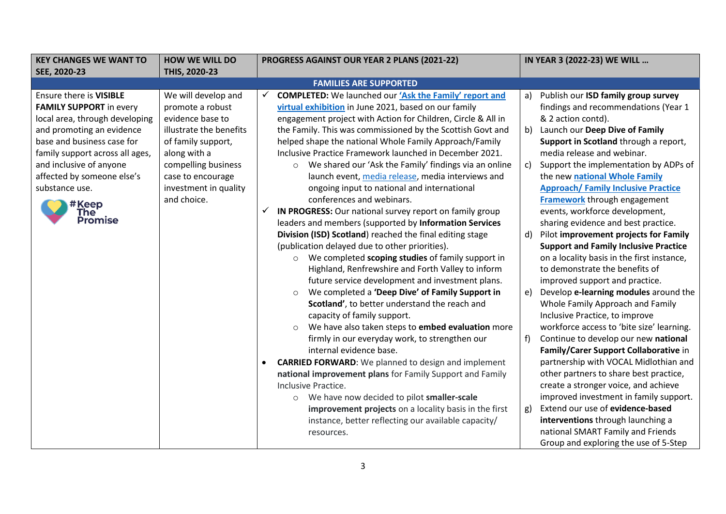| <b>KEY CHANGES WE WANT TO</b>   | <b>HOW WE WILL DO</b>   | PROGRESS AGAINST OUR YEAR 2 PLANS (2021-22)                        | IN YEAR 3 (2022-23) WE WILL                  |
|---------------------------------|-------------------------|--------------------------------------------------------------------|----------------------------------------------|
| SEE, 2020-23                    | THIS, 2020-23           |                                                                    |                                              |
|                                 |                         | <b>FAMILIES ARE SUPPORTED</b>                                      |                                              |
| Ensure there is VISIBLE         | We will develop and     | <b>COMPLETED:</b> We launched our 'Ask the Family' report and<br>✓ | Publish our ISD family group survey<br>a)    |
| <b>FAMILY SUPPORT</b> in every  | promote a robust        | virtual exhibition in June 2021, based on our family               | findings and recommendations (Year 1         |
| local area, through developing  | evidence base to        | engagement project with Action for Children, Circle & All in       | & 2 action contd).                           |
| and promoting an evidence       | illustrate the benefits | the Family. This was commissioned by the Scottish Govt and         | Launch our Deep Dive of Family<br>b)         |
| base and business case for      | of family support,      | helped shape the national Whole Family Approach/Family             | Support in Scotland through a report,        |
| family support across all ages, | along with a            | Inclusive Practice Framework launched in December 2021.            | media release and webinar.                   |
| and inclusive of anyone         | compelling business     | We shared our 'Ask the Family' findings via an online<br>$\circ$   | Support the implementation by ADPs of<br>c)  |
| affected by someone else's      | case to encourage       | launch event, media release, media interviews and                  | the new national Whole Family                |
| substance use.                  | investment in quality   | ongoing input to national and international                        | <b>Approach/ Family Inclusive Practice</b>   |
| #Keep                           | and choice.             | conferences and webinars.                                          | <b>Framework</b> through engagement          |
| The                             |                         | IN PROGRESS: Our national survey report on family group<br>✓       | events, workforce development,               |
| <b>Promise</b>                  |                         | leaders and members (supported by Information Services             | sharing evidence and best practice.          |
|                                 |                         | Division (ISD) Scotland) reached the final editing stage           | Pilot improvement projects for Family<br>d)  |
|                                 |                         | (publication delayed due to other priorities).                     | <b>Support and Family Inclusive Practice</b> |
|                                 |                         | We completed scoping studies of family support in<br>$\circ$       | on a locality basis in the first instance,   |
|                                 |                         | Highland, Renfrewshire and Forth Valley to inform                  | to demonstrate the benefits of               |
|                                 |                         | future service development and investment plans.                   | improved support and practice.               |
|                                 |                         | We completed a 'Deep Dive' of Family Support in<br>$\circ$         | Develop e-learning modules around the<br>e)  |
|                                 |                         | Scotland', to better understand the reach and                      | Whole Family Approach and Family             |
|                                 |                         | capacity of family support.                                        | Inclusive Practice, to improve               |
|                                 |                         | We have also taken steps to embed evaluation more<br>$\circ$       | workforce access to 'bite size' learning.    |
|                                 |                         | firmly in our everyday work, to strengthen our                     | Continue to develop our new national<br>f)   |
|                                 |                         | internal evidence base.                                            | Family/Carer Support Collaborative in        |
|                                 |                         | <b>CARRIED FORWARD:</b> We planned to design and implement<br>٠    | partnership with VOCAL Midlothian and        |
|                                 |                         | national improvement plans for Family Support and Family           | other partners to share best practice,       |
|                                 |                         | Inclusive Practice.                                                | create a stronger voice, and achieve         |
|                                 |                         | We have now decided to pilot smaller-scale<br>$\circ$              | improved investment in family support.       |
|                                 |                         | improvement projects on a locality basis in the first              | Extend our use of evidence-based<br>g)       |
|                                 |                         | instance, better reflecting our available capacity/                | interventions through launching a            |
|                                 |                         | resources.                                                         | national SMART Family and Friends            |
|                                 |                         |                                                                    | Group and exploring the use of 5-Step        |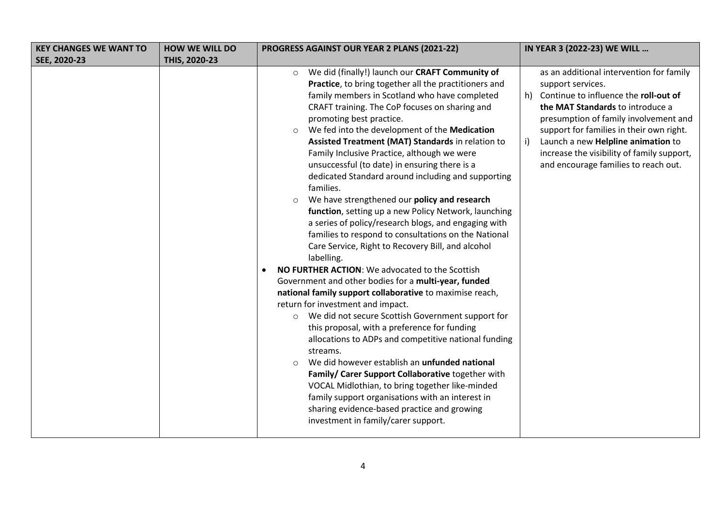| <b>KEY CHANGES WE WANT TO</b> | <b>HOW WE WILL DO</b> | PROGRESS AGAINST OUR YEAR 2 PLANS (2021-22)                                                                                                                                                                                                                                                                                                                                                                                                                                                                                                                                                                                                                                                                                                                                                                                                                                                                                                                                                                                                                                                                                                                                                                                                                                                                                                                                                                                                                                                                                                      | IN YEAR 3 (2022-23) WE WILL                                                                                                                                                                                                                                                                                                                                             |
|-------------------------------|-----------------------|--------------------------------------------------------------------------------------------------------------------------------------------------------------------------------------------------------------------------------------------------------------------------------------------------------------------------------------------------------------------------------------------------------------------------------------------------------------------------------------------------------------------------------------------------------------------------------------------------------------------------------------------------------------------------------------------------------------------------------------------------------------------------------------------------------------------------------------------------------------------------------------------------------------------------------------------------------------------------------------------------------------------------------------------------------------------------------------------------------------------------------------------------------------------------------------------------------------------------------------------------------------------------------------------------------------------------------------------------------------------------------------------------------------------------------------------------------------------------------------------------------------------------------------------------|-------------------------------------------------------------------------------------------------------------------------------------------------------------------------------------------------------------------------------------------------------------------------------------------------------------------------------------------------------------------------|
| SEE, 2020-23                  | THIS, 2020-23         |                                                                                                                                                                                                                                                                                                                                                                                                                                                                                                                                                                                                                                                                                                                                                                                                                                                                                                                                                                                                                                                                                                                                                                                                                                                                                                                                                                                                                                                                                                                                                  |                                                                                                                                                                                                                                                                                                                                                                         |
|                               |                       | We did (finally!) launch our CRAFT Community of<br>$\circ$<br>Practice, to bring together all the practitioners and<br>family members in Scotland who have completed<br>CRAFT training. The CoP focuses on sharing and<br>promoting best practice.<br>We fed into the development of the Medication<br>Assisted Treatment (MAT) Standards in relation to<br>Family Inclusive Practice, although we were<br>unsuccessful (to date) in ensuring there is a<br>dedicated Standard around including and supporting<br>families.<br>We have strengthened our policy and research<br>$\circ$<br>function, setting up a new Policy Network, launching<br>a series of policy/research blogs, and engaging with<br>families to respond to consultations on the National<br>Care Service, Right to Recovery Bill, and alcohol<br>labelling.<br>NO FURTHER ACTION: We advocated to the Scottish<br>Government and other bodies for a multi-year, funded<br>national family support collaborative to maximise reach,<br>return for investment and impact.<br>We did not secure Scottish Government support for<br>$\circ$<br>this proposal, with a preference for funding<br>allocations to ADPs and competitive national funding<br>streams.<br>We did however establish an unfunded national<br>$\Omega$<br>Family/ Carer Support Collaborative together with<br>VOCAL Midlothian, to bring together like-minded<br>family support organisations with an interest in<br>sharing evidence-based practice and growing<br>investment in family/carer support. | as an additional intervention for family<br>support services.<br>Continue to influence the roll-out of<br>h)<br>the MAT Standards to introduce a<br>presumption of family involvement and<br>support for families in their own right.<br>Launch a new Helpline animation to<br>i)<br>increase the visibility of family support,<br>and encourage families to reach out. |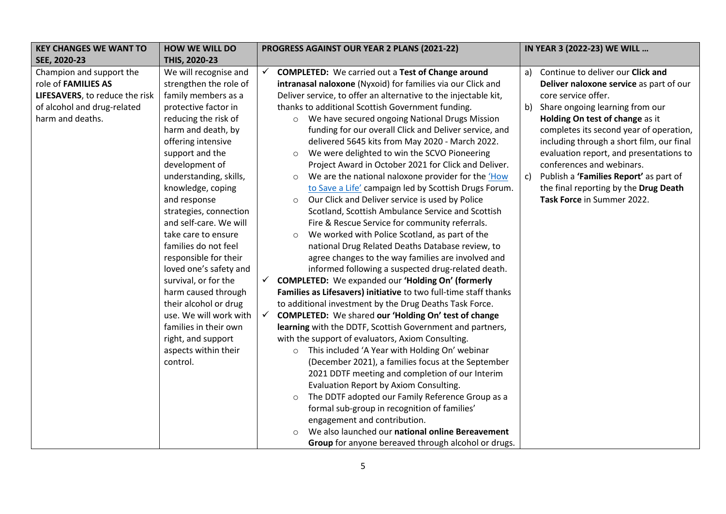| <b>KEY CHANGES WE WANT TO</b>  | <b>HOW WE WILL DO</b>  | PROGRESS AGAINST OUR YEAR 2 PLANS (2021-22)                                 | IN YEAR 3 (2022-23) WE WILL                  |
|--------------------------------|------------------------|-----------------------------------------------------------------------------|----------------------------------------------|
| SEE, 2020-23                   | THIS, 2020-23          |                                                                             |                                              |
| Champion and support the       | We will recognise and  | <b>COMPLETED:</b> We carried out a Test of Change around<br>✓               | Continue to deliver our Click and<br>a)      |
| role of FAMILIES AS            | strengthen the role of | intranasal naloxone (Nyxoid) for families via our Click and                 | Deliver naloxone service as part of our      |
| LIFESAVERS, to reduce the risk | family members as a    | Deliver service, to offer an alternative to the injectable kit,             | core service offer.                          |
| of alcohol and drug-related    | protective factor in   | thanks to additional Scottish Government funding.                           | Share ongoing learning from our<br>b)        |
| harm and deaths.               | reducing the risk of   | We have secured ongoing National Drugs Mission<br>$\circ$                   | Holding On test of change as it              |
|                                | harm and death, by     | funding for our overall Click and Deliver service, and                      | completes its second year of operation,      |
|                                | offering intensive     | delivered 5645 kits from May 2020 - March 2022.                             | including through a short film, our final    |
|                                | support and the        | We were delighted to win the SCVO Pioneering<br>$\circ$                     | evaluation report, and presentations to      |
|                                | development of         | Project Award in October 2021 for Click and Deliver.                        | conferences and webinars.                    |
|                                | understanding, skills, | We are the national naloxone provider for the 'How<br>$\circ$               | Publish a 'Families Report' as part of<br>C) |
|                                | knowledge, coping      | to Save a Life' campaign led by Scottish Drugs Forum.                       | the final reporting by the Drug Death        |
|                                | and response           | Our Click and Deliver service is used by Police<br>$\circ$                  | Task Force in Summer 2022.                   |
|                                | strategies, connection | Scotland, Scottish Ambulance Service and Scottish                           |                                              |
|                                | and self-care. We will | Fire & Rescue Service for community referrals.                              |                                              |
|                                | take care to ensure    | We worked with Police Scotland, as part of the<br>$\circ$                   |                                              |
|                                | families do not feel   | national Drug Related Deaths Database review, to                            |                                              |
|                                | responsible for their  | agree changes to the way families are involved and                          |                                              |
|                                | loved one's safety and | informed following a suspected drug-related death.                          |                                              |
|                                | survival, or for the   | <b>COMPLETED:</b> We expanded our 'Holding On' (formerly<br>$\checkmark$    |                                              |
|                                | harm caused through    | Families as Lifesavers) initiative to two full-time staff thanks            |                                              |
|                                | their alcohol or drug  | to additional investment by the Drug Deaths Task Force.                     |                                              |
|                                | use. We will work with | <b>COMPLETED:</b> We shared our 'Holding On' test of change<br>$\checkmark$ |                                              |
|                                | families in their own  | learning with the DDTF, Scottish Government and partners,                   |                                              |
|                                | right, and support     | with the support of evaluators, Axiom Consulting.                           |                                              |
|                                | aspects within their   | This included 'A Year with Holding On' webinar<br>$\circ$                   |                                              |
|                                | control.               | (December 2021), a families focus at the September                          |                                              |
|                                |                        | 2021 DDTF meeting and completion of our Interim                             |                                              |
|                                |                        | Evaluation Report by Axiom Consulting.                                      |                                              |
|                                |                        | The DDTF adopted our Family Reference Group as a<br>$\circ$                 |                                              |
|                                |                        | formal sub-group in recognition of families'                                |                                              |
|                                |                        | engagement and contribution.                                                |                                              |
|                                |                        | We also launched our national online Bereavement<br>$\bigcap$               |                                              |
|                                |                        | Group for anyone bereaved through alcohol or drugs.                         |                                              |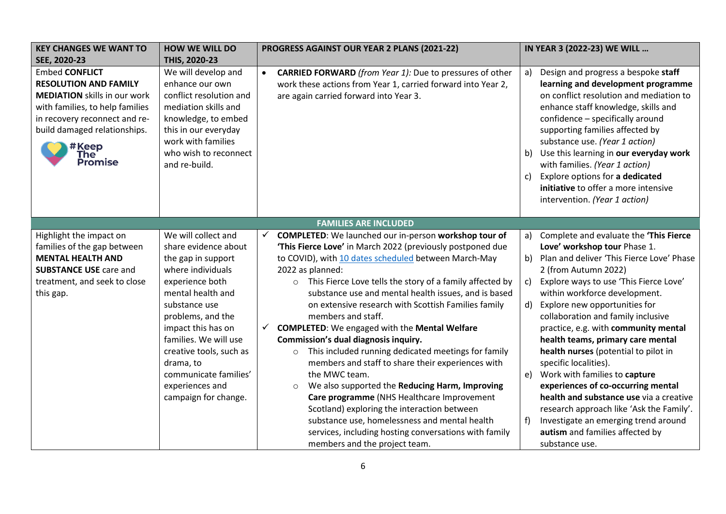| <b>KEY CHANGES WE WANT TO</b>                                                                                                                                                                                               | <b>HOW WE WILL DO</b>                                                                                                                                                                                                                                                                                                           | PROGRESS AGAINST OUR YEAR 2 PLANS (2021-22)                                                                                                                                                                                                                                                                                                                                                                                                                                                                                                                                                                                                                                                                                                                                                                                                                                                                                                                                                     | IN YEAR 3 (2022-23) WE WILL                                                                                                                                                                                                                                                                                                                                                                                                                                                                                                                                                                                                                                                                                                                    |
|-----------------------------------------------------------------------------------------------------------------------------------------------------------------------------------------------------------------------------|---------------------------------------------------------------------------------------------------------------------------------------------------------------------------------------------------------------------------------------------------------------------------------------------------------------------------------|-------------------------------------------------------------------------------------------------------------------------------------------------------------------------------------------------------------------------------------------------------------------------------------------------------------------------------------------------------------------------------------------------------------------------------------------------------------------------------------------------------------------------------------------------------------------------------------------------------------------------------------------------------------------------------------------------------------------------------------------------------------------------------------------------------------------------------------------------------------------------------------------------------------------------------------------------------------------------------------------------|------------------------------------------------------------------------------------------------------------------------------------------------------------------------------------------------------------------------------------------------------------------------------------------------------------------------------------------------------------------------------------------------------------------------------------------------------------------------------------------------------------------------------------------------------------------------------------------------------------------------------------------------------------------------------------------------------------------------------------------------|
| SEE, 2020-23                                                                                                                                                                                                                | THIS, 2020-23                                                                                                                                                                                                                                                                                                                   |                                                                                                                                                                                                                                                                                                                                                                                                                                                                                                                                                                                                                                                                                                                                                                                                                                                                                                                                                                                                 |                                                                                                                                                                                                                                                                                                                                                                                                                                                                                                                                                                                                                                                                                                                                                |
| <b>Embed CONFLICT</b><br><b>RESOLUTION AND FAMILY</b><br><b>MEDIATION</b> skills in our work<br>with families, to help families<br>in recovery reconnect and re-<br>build damaged relationships.<br>#Keep<br>The<br>Promise | We will develop and<br>enhance our own<br>conflict resolution and<br>mediation skills and<br>knowledge, to embed<br>this in our everyday<br>work with families<br>who wish to reconnect<br>and re-build.                                                                                                                        | <b>CARRIED FORWARD</b> (from Year 1): Due to pressures of other<br>$\bullet$<br>work these actions from Year 1, carried forward into Year 2,<br>are again carried forward into Year 3.                                                                                                                                                                                                                                                                                                                                                                                                                                                                                                                                                                                                                                                                                                                                                                                                          | Design and progress a bespoke staff<br>a)<br>learning and development programme<br>on conflict resolution and mediation to<br>enhance staff knowledge, skills and<br>confidence - specifically around<br>supporting families affected by<br>substance use. (Year 1 action)<br>Use this learning in our everyday work<br>with families. (Year 1 action)<br>Explore options for a dedicated<br>c)<br>initiative to offer a more intensive<br>intervention. (Year 1 action)                                                                                                                                                                                                                                                                       |
|                                                                                                                                                                                                                             |                                                                                                                                                                                                                                                                                                                                 | <b>FAMILIES ARE INCLUDED</b>                                                                                                                                                                                                                                                                                                                                                                                                                                                                                                                                                                                                                                                                                                                                                                                                                                                                                                                                                                    |                                                                                                                                                                                                                                                                                                                                                                                                                                                                                                                                                                                                                                                                                                                                                |
| Highlight the impact on<br>families of the gap between<br><b>MENTAL HEALTH AND</b><br><b>SUBSTANCE USE care and</b><br>treatment, and seek to close<br>this gap.                                                            | We will collect and<br>share evidence about<br>the gap in support<br>where individuals<br>experience both<br>mental health and<br>substance use<br>problems, and the<br>impact this has on<br>families. We will use<br>creative tools, such as<br>drama, to<br>communicate families'<br>experiences and<br>campaign for change. | <b>COMPLETED:</b> We launched our in-person workshop tour of<br>$\checkmark$<br>'This Fierce Love' in March 2022 (previously postponed due<br>to COVID), with 10 dates scheduled between March-May<br>2022 as planned:<br>This Fierce Love tells the story of a family affected by<br>$\circ$<br>substance use and mental health issues, and is based<br>on extensive research with Scottish Families family<br>members and staff.<br><b>COMPLETED:</b> We engaged with the Mental Welfare<br>$\checkmark$<br>Commission's dual diagnosis inquiry.<br>This included running dedicated meetings for family<br>$\circ$<br>members and staff to share their experiences with<br>the MWC team.<br>We also supported the Reducing Harm, Improving<br>$\circ$<br>Care programme (NHS Healthcare Improvement<br>Scotland) exploring the interaction between<br>substance use, homelessness and mental health<br>services, including hosting conversations with family<br>members and the project team. | Complete and evaluate the 'This Fierce<br>a)<br>Love' workshop tour Phase 1.<br>Plan and deliver 'This Fierce Love' Phase<br>b)<br>2 (from Autumn 2022)<br>Explore ways to use 'This Fierce Love'<br>C)<br>within workforce development.<br>Explore new opportunities for<br>$\mathsf{d}$<br>collaboration and family inclusive<br>practice, e.g. with community mental<br>health teams, primary care mental<br>health nurses (potential to pilot in<br>specific localities).<br>Work with families to capture<br>e)<br>experiences of co-occurring mental<br>health and substance use via a creative<br>research approach like 'Ask the Family'.<br>Investigate an emerging trend around<br>autism and families affected by<br>substance use. |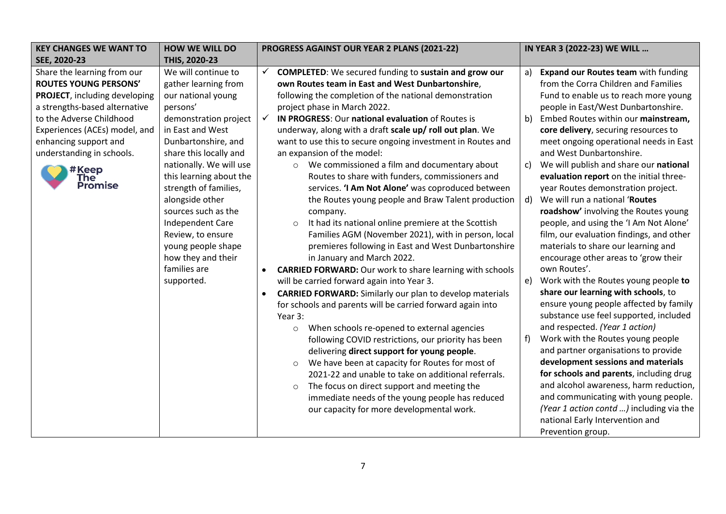| <b>KEY CHANGES WE WANT TO</b> | <b>HOW WE WILL DO</b>   | PROGRESS AGAINST OUR YEAR 2 PLANS (2021-22)                                  | IN YEAR 3 (2022-23) WE WILL                |
|-------------------------------|-------------------------|------------------------------------------------------------------------------|--------------------------------------------|
| SEE, 2020-23                  | THIS, 2020-23           |                                                                              |                                            |
| Share the learning from our   | We will continue to     | <b>COMPLETED:</b> We secured funding to sustain and grow our<br>✓<br>a)      | <b>Expand our Routes team with funding</b> |
| <b>ROUTES YOUNG PERSONS'</b>  | gather learning from    | own Routes team in East and West Dunbartonshire,                             | from the Corra Children and Families       |
| PROJECT, including developing | our national young      | following the completion of the national demonstration                       | Fund to enable us to reach more young      |
| a strengths-based alternative | persons'                | project phase in March 2022.                                                 | people in East/West Dunbartonshire.        |
| to the Adverse Childhood      | demonstration project   | $\checkmark$<br>IN PROGRESS: Our national evaluation of Routes is<br>b)      | Embed Routes within our mainstream,        |
| Experiences (ACEs) model, and | in East and West        | underway, along with a draft scale up/ roll out plan. We                     | core delivery, securing resources to       |
| enhancing support and         | Dunbartonshire, and     | want to use this to secure ongoing investment in Routes and                  | meet ongoing operational needs in East     |
| understanding in schools.     | share this locally and  | an expansion of the model:                                                   | and West Dunbartonshire.                   |
| #Keep                         | nationally. We will use | We commissioned a film and documentary about<br>C)<br>$\circ$                | We will publish and share our national     |
| The <sup>'</sup>              | this learning about the | Routes to share with funders, commissioners and                              | evaluation report on the initial three-    |
| <b>Promise</b>                | strength of families,   | services. 'I Am Not Alone' was coproduced between                            | year Routes demonstration project.         |
|                               | alongside other         | the Routes young people and Braw Talent production<br>d)                     | We will run a national 'Routes             |
|                               | sources such as the     | company.                                                                     | roadshow' involving the Routes young       |
|                               | Independent Care        | It had its national online premiere at the Scottish<br>$\circ$               | people, and using the 'I Am Not Alone'     |
|                               | Review, to ensure       | Families AGM (November 2021), with in person, local                          | film, our evaluation findings, and other   |
|                               | young people shape      | premieres following in East and West Dunbartonshire                          | materials to share our learning and        |
|                               | how they and their      | in January and March 2022.                                                   | encourage other areas to 'grow their       |
|                               | families are            | <b>CARRIED FORWARD:</b> Our work to share learning with schools<br>$\bullet$ | own Routes'.                               |
|                               | supported.              | will be carried forward again into Year 3.<br>e)                             | Work with the Routes young people to       |
|                               |                         | <b>CARRIED FORWARD:</b> Similarly our plan to develop materials<br>$\bullet$ | share our learning with schools, to        |
|                               |                         | for schools and parents will be carried forward again into                   | ensure young people affected by family     |
|                               |                         | Year 3:                                                                      | substance use feel supported, included     |
|                               |                         | When schools re-opened to external agencies<br>$\circ$                       | and respected. (Year 1 action)             |
|                               |                         | f)<br>following COVID restrictions, our priority has been                    | Work with the Routes young people          |
|                               |                         | delivering direct support for young people.                                  | and partner organisations to provide       |
|                               |                         | We have been at capacity for Routes for most of<br>$\circ$                   | development sessions and materials         |
|                               |                         | 2021-22 and unable to take on additional referrals.                          | for schools and parents, including drug    |
|                               |                         | The focus on direct support and meeting the<br>$\circ$                       | and alcohol awareness, harm reduction,     |
|                               |                         | immediate needs of the young people has reduced                              | and communicating with young people.       |
|                               |                         | our capacity for more developmental work.                                    | (Year 1 action contd ) including via the   |
|                               |                         |                                                                              | national Early Intervention and            |
|                               |                         |                                                                              | Prevention group.                          |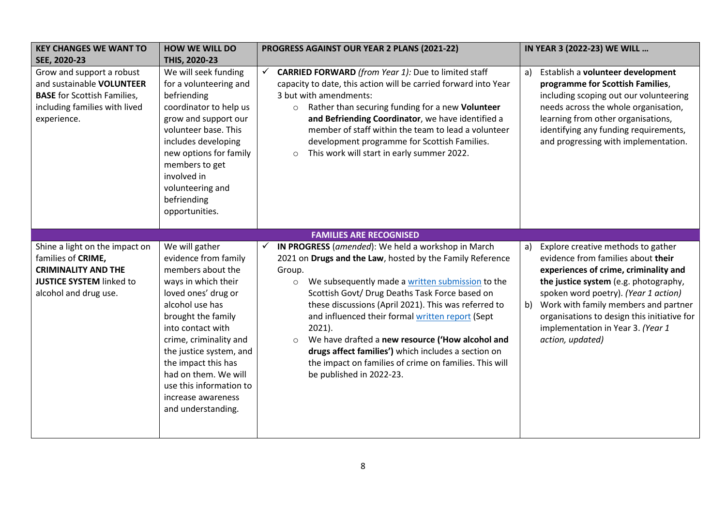| <b>KEY CHANGES WE WANT TO</b><br>SEE, 2020-23                                                                                                  | <b>HOW WE WILL DO</b><br>THIS, 2020-23                                                                                                                                                                                                                                                                                                             | PROGRESS AGAINST OUR YEAR 2 PLANS (2021-22)                                                                                                                                                                                                                                                                                                                                                                                                                                                                                                                                     | IN YEAR 3 (2022-23) WE WILL                                                                                                                                                                                                                                                                                                                                    |
|------------------------------------------------------------------------------------------------------------------------------------------------|----------------------------------------------------------------------------------------------------------------------------------------------------------------------------------------------------------------------------------------------------------------------------------------------------------------------------------------------------|---------------------------------------------------------------------------------------------------------------------------------------------------------------------------------------------------------------------------------------------------------------------------------------------------------------------------------------------------------------------------------------------------------------------------------------------------------------------------------------------------------------------------------------------------------------------------------|----------------------------------------------------------------------------------------------------------------------------------------------------------------------------------------------------------------------------------------------------------------------------------------------------------------------------------------------------------------|
| Grow and support a robust<br>and sustainable VOLUNTEER<br><b>BASE</b> for Scottish Families,<br>including families with lived<br>experience.   | We will seek funding<br>for a volunteering and<br>befriending<br>coordinator to help us<br>grow and support our<br>volunteer base. This<br>includes developing<br>new options for family<br>members to get<br>involved in<br>volunteering and<br>befriending<br>opportunities.                                                                     | $\checkmark$<br><b>CARRIED FORWARD</b> (from Year 1): Due to limited staff<br>capacity to date, this action will be carried forward into Year<br>3 but with amendments:<br>Rather than securing funding for a new Volunteer<br>$\circ$<br>and Befriending Coordinator, we have identified a<br>member of staff within the team to lead a volunteer<br>development programme for Scottish Families.<br>This work will start in early summer 2022.<br>$\circ$                                                                                                                     | Establish a volunteer development<br>a)<br>programme for Scottish Families,<br>including scoping out our volunteering<br>needs across the whole organisation,<br>learning from other organisations,<br>identifying any funding requirements,<br>and progressing with implementation.                                                                           |
|                                                                                                                                                |                                                                                                                                                                                                                                                                                                                                                    | <b>FAMILIES ARE RECOGNISED</b>                                                                                                                                                                                                                                                                                                                                                                                                                                                                                                                                                  |                                                                                                                                                                                                                                                                                                                                                                |
| Shine a light on the impact on<br>families of CRIME,<br><b>CRIMINALITY AND THE</b><br><b>JUSTICE SYSTEM linked to</b><br>alcohol and drug use. | We will gather<br>evidence from family<br>members about the<br>ways in which their<br>loved ones' drug or<br>alcohol use has<br>brought the family<br>into contact with<br>crime, criminality and<br>the justice system, and<br>the impact this has<br>had on them. We will<br>use this information to<br>increase awareness<br>and understanding. | IN PROGRESS (amended): We held a workshop in March<br>2021 on Drugs and the Law, hosted by the Family Reference<br>Group.<br>We subsequently made a written submission to the<br>$\circ$<br>Scottish Govt/ Drug Deaths Task Force based on<br>these discussions (April 2021). This was referred to<br>and influenced their formal written report (Sept<br>$2021$ ).<br>We have drafted a new resource ('How alcohol and<br>$\circ$<br>drugs affect families') which includes a section on<br>the impact on families of crime on families. This will<br>be published in 2022-23. | Explore creative methods to gather<br>a)<br>evidence from families about their<br>experiences of crime, criminality and<br>the justice system (e.g. photography,<br>spoken word poetry). (Year 1 action)<br>Work with family members and partner<br>b)<br>organisations to design this initiative for<br>implementation in Year 3. (Year 1<br>action, updated) |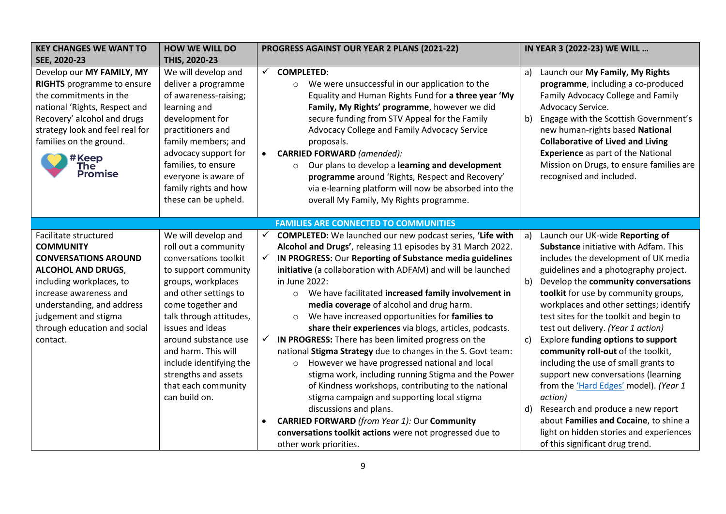| <b>KEY CHANGES WE WANT TO</b>                                                                                                                                                                                                                                 | <b>HOW WE WILL DO</b>                                                                                                                                                                                                                                                                                                                                     | PROGRESS AGAINST OUR YEAR 2 PLANS (2021-22)                                                                                                                                                                                                                                                                                                                                                                                                                                                                                                                                                                                                                                                                                                                                                                                                                                                                                                                                                                                                                                               | IN YEAR 3 (2022-23) WE WILL                                                                                                                                                                                                                                                                                                                                                                                                                                                                                                                                                                                                                                                                                                                                                     |
|---------------------------------------------------------------------------------------------------------------------------------------------------------------------------------------------------------------------------------------------------------------|-----------------------------------------------------------------------------------------------------------------------------------------------------------------------------------------------------------------------------------------------------------------------------------------------------------------------------------------------------------|-------------------------------------------------------------------------------------------------------------------------------------------------------------------------------------------------------------------------------------------------------------------------------------------------------------------------------------------------------------------------------------------------------------------------------------------------------------------------------------------------------------------------------------------------------------------------------------------------------------------------------------------------------------------------------------------------------------------------------------------------------------------------------------------------------------------------------------------------------------------------------------------------------------------------------------------------------------------------------------------------------------------------------------------------------------------------------------------|---------------------------------------------------------------------------------------------------------------------------------------------------------------------------------------------------------------------------------------------------------------------------------------------------------------------------------------------------------------------------------------------------------------------------------------------------------------------------------------------------------------------------------------------------------------------------------------------------------------------------------------------------------------------------------------------------------------------------------------------------------------------------------|
| SEE, 2020-23                                                                                                                                                                                                                                                  | THIS, 2020-23                                                                                                                                                                                                                                                                                                                                             |                                                                                                                                                                                                                                                                                                                                                                                                                                                                                                                                                                                                                                                                                                                                                                                                                                                                                                                                                                                                                                                                                           |                                                                                                                                                                                                                                                                                                                                                                                                                                                                                                                                                                                                                                                                                                                                                                                 |
| Develop our MY FAMILY, MY<br><b>RIGHTS</b> programme to ensure<br>the commitments in the<br>national 'Rights, Respect and<br>Recovery' alcohol and drugs<br>strategy look and feel real for<br>families on the ground.<br>#Keep<br><b>The</b><br>Promise      | We will develop and<br>deliver a programme<br>of awareness-raising;<br>learning and<br>development for<br>practitioners and<br>family members; and<br>advocacy support for<br>families, to ensure<br>everyone is aware of<br>family rights and how<br>these can be upheld.                                                                                | <b>COMPLETED:</b><br>$\checkmark$<br>We were unsuccessful in our application to the<br>$\circ$<br>Equality and Human Rights Fund for a three year 'My<br>Family, My Rights' programme, however we did<br>secure funding from STV Appeal for the Family<br>Advocacy College and Family Advocacy Service<br>proposals.<br><b>CARRIED FORWARD</b> (amended):<br>$\bullet$<br>Our plans to develop a learning and development<br>$\circ$<br>programme around 'Rights, Respect and Recovery'<br>via e-learning platform will now be absorbed into the<br>overall My Family, My Rights programme.                                                                                                                                                                                                                                                                                                                                                                                                                                                                                               | Launch our My Family, My Rights<br>a)<br>programme, including a co-produced<br>Family Advocacy College and Family<br>Advocacy Service.<br>Engage with the Scottish Government's<br>b)<br>new human-rights based National<br><b>Collaborative of Lived and Living</b><br><b>Experience</b> as part of the National<br>Mission on Drugs, to ensure families are<br>recognised and included.                                                                                                                                                                                                                                                                                                                                                                                       |
|                                                                                                                                                                                                                                                               |                                                                                                                                                                                                                                                                                                                                                           | <b>FAMILIES ARE CONNECTED TO COMMUNITIES</b>                                                                                                                                                                                                                                                                                                                                                                                                                                                                                                                                                                                                                                                                                                                                                                                                                                                                                                                                                                                                                                              |                                                                                                                                                                                                                                                                                                                                                                                                                                                                                                                                                                                                                                                                                                                                                                                 |
| Facilitate structured<br><b>COMMUNITY</b><br><b>CONVERSATIONS AROUND</b><br><b>ALCOHOL AND DRUGS,</b><br>including workplaces, to<br>increase awareness and<br>understanding, and address<br>judgement and stigma<br>through education and social<br>contact. | We will develop and<br>roll out a community<br>conversations toolkit<br>to support community<br>groups, workplaces<br>and other settings to<br>come together and<br>talk through attitudes,<br>issues and ideas<br>around substance use<br>and harm. This will<br>include identifying the<br>strengths and assets<br>that each community<br>can build on. | <b>COMPLETED:</b> We launched our new podcast series, 'Life with<br>$\checkmark$<br>Alcohol and Drugs', releasing 11 episodes by 31 March 2022.<br>$\checkmark$<br>IN PROGRESS: Our Reporting of Substance media guidelines<br>initiative (a collaboration with ADFAM) and will be launched<br>in June 2022:<br>We have facilitated increased family involvement in<br>$\circ$<br>media coverage of alcohol and drug harm.<br>We have increased opportunities for families to<br>$\circ$<br>share their experiences via blogs, articles, podcasts.<br>IN PROGRESS: There has been limited progress on the<br>$\checkmark$<br>national Stigma Strategy due to changes in the S. Govt team:<br>However we have progressed national and local<br>$\circ$<br>stigma work, including running Stigma and the Power<br>of Kindness workshops, contributing to the national<br>stigma campaign and supporting local stigma<br>discussions and plans.<br><b>CARRIED FORWARD</b> (from Year 1): Our Community<br>conversations toolkit actions were not progressed due to<br>other work priorities. | Launch our UK-wide Reporting of<br>a)<br>Substance initiative with Adfam. This<br>includes the development of UK media<br>guidelines and a photography project.<br>b)<br>Develop the community conversations<br>toolkit for use by community groups,<br>workplaces and other settings; identify<br>test sites for the toolkit and begin to<br>test out delivery. (Year 1 action)<br><b>Explore funding options to support</b><br>c)<br>community roll-out of the toolkit,<br>including the use of small grants to<br>support new conversations (learning<br>from the 'Hard Edges' model). (Year 1<br>action)<br>Research and produce a new report<br>d)<br>about Families and Cocaine, to shine a<br>light on hidden stories and experiences<br>of this significant drug trend. |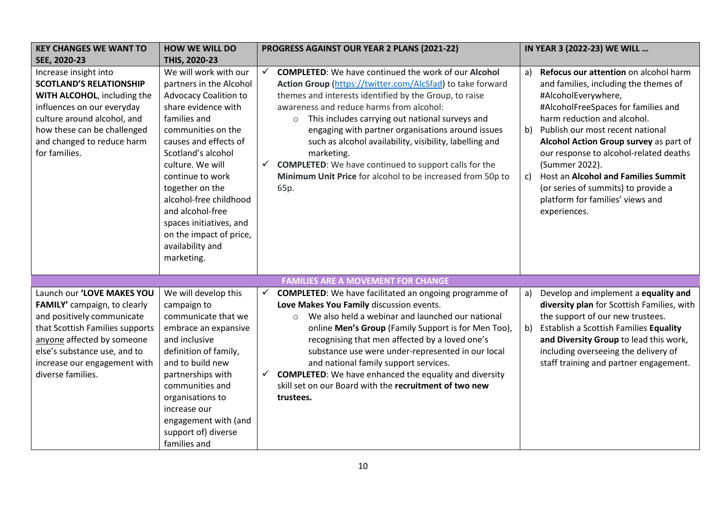| <b>KEY CHANGES WE WANT TO</b>                                                                                                                                                                                                                  | <b>HOW WE WILL DO</b>                                                                                                                                                                                                                                                                                                                                                                         | PROGRESS AGAINST OUR YEAR 2 PLANS (2021-22)                                                                                                                                                                                                                                                                                                                                                                                                                                                                                                                                       | IN YEAR 3 (2022-23) WE WILL                                                                                                                                                                                                                                                                                                                                                                                                                                               |
|------------------------------------------------------------------------------------------------------------------------------------------------------------------------------------------------------------------------------------------------|-----------------------------------------------------------------------------------------------------------------------------------------------------------------------------------------------------------------------------------------------------------------------------------------------------------------------------------------------------------------------------------------------|-----------------------------------------------------------------------------------------------------------------------------------------------------------------------------------------------------------------------------------------------------------------------------------------------------------------------------------------------------------------------------------------------------------------------------------------------------------------------------------------------------------------------------------------------------------------------------------|---------------------------------------------------------------------------------------------------------------------------------------------------------------------------------------------------------------------------------------------------------------------------------------------------------------------------------------------------------------------------------------------------------------------------------------------------------------------------|
| SEE, 2020-23                                                                                                                                                                                                                                   | THIS, 2020-23                                                                                                                                                                                                                                                                                                                                                                                 |                                                                                                                                                                                                                                                                                                                                                                                                                                                                                                                                                                                   |                                                                                                                                                                                                                                                                                                                                                                                                                                                                           |
| Increase insight into<br><b>SCOTLAND'S RELATIONSHIP</b><br>WITH ALCOHOL, including the<br>influences on our everyday<br>culture around alcohol, and<br>how these can be challenged<br>and changed to reduce harm<br>for families.              | We will work with our<br>partners in the Alcohol<br><b>Advocacy Coalition to</b><br>share evidence with<br>families and<br>communities on the<br>causes and effects of<br>Scotland's alcohol<br>culture. We will<br>continue to work<br>together on the<br>alcohol-free childhood<br>and alcohol-free<br>spaces initiatives, and<br>on the impact of price,<br>availability and<br>marketing. | <b>COMPLETED:</b> We have continued the work of our Alcohol<br>$\checkmark$<br>Action Group (https://twitter.com/AlcSfad) to take forward<br>themes and interests identified by the Group, to raise<br>awareness and reduce harms from alcohol:<br>This includes carrying out national surveys and<br>$\circ$<br>engaging with partner organisations around issues<br>such as alcohol availability, visibility, labelling and<br>marketing.<br><b>COMPLETED:</b> We have continued to support calls for the<br>Minimum Unit Price for alcohol to be increased from 50p to<br>65p. | Refocus our attention on alcohol harm<br>a)<br>and families, including the themes of<br>#AlcoholEverywhere,<br>#AlcoholFreeSpaces for families and<br>harm reduction and alcohol.<br>Publish our most recent national<br>b)<br>Alcohol Action Group survey as part of<br>our response to alcohol-related deaths<br>(Summer 2022).<br>Host an Alcohol and Families Summit<br>c)<br>(or series of summits) to provide a<br>platform for families' views and<br>experiences. |
|                                                                                                                                                                                                                                                |                                                                                                                                                                                                                                                                                                                                                                                               | <b>FAMILIES ARE A MOVEMENT FOR CHANGE</b>                                                                                                                                                                                                                                                                                                                                                                                                                                                                                                                                         |                                                                                                                                                                                                                                                                                                                                                                                                                                                                           |
| Launch our 'LOVE MAKES YOU<br>FAMILY' campaign, to clearly<br>and positively communicate<br>that Scottish Families supports<br>anyone affected by someone<br>else's substance use, and to<br>increase our engagement with<br>diverse families. | We will develop this<br>campaign to<br>communicate that we<br>embrace an expansive<br>and inclusive<br>definition of family,<br>and to build new<br>partnerships with<br>communities and<br>organisations to<br>increase our<br>engagement with (and<br>support of) diverse<br>families and                                                                                                   | <b>COMPLETED:</b> We have facilitated an ongoing programme of<br>$\checkmark$<br>Love Makes You Family discussion events.<br>We also held a webinar and launched our national<br>$\circ$<br>online Men's Group (Family Support is for Men Too),<br>recognising that men affected by a loved one's<br>substance use were under-represented in our local<br>and national family support services.<br><b>COMPLETED:</b> We have enhanced the equality and diversity<br>✓<br>skill set on our Board with the recruitment of two new<br>trustees.                                      | Develop and implement a equality and<br>a)<br>diversity plan for Scottish Families, with<br>the support of our new trustees.<br>b)<br>Establish a Scottish Families Equality<br>and Diversity Group to lead this work,<br>including overseeing the delivery of<br>staff training and partner engagement.                                                                                                                                                                  |